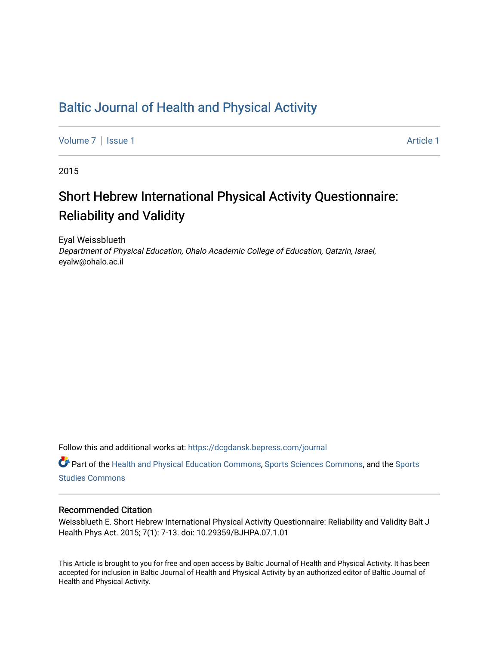## [Baltic Journal of Health and Physical Activity](https://dcgdansk.bepress.com/journal)

[Volume 7](https://dcgdansk.bepress.com/journal/vol7) | [Issue 1](https://dcgdansk.bepress.com/journal/vol7/iss1) Article 1

2015

## Short Hebrew International Physical Activity Questionnaire: Reliability and Validity

Eyal Weissblueth Department of Physical Education, Ohalo Academic College of Education, Qatzrin, Israel, eyalw@ohalo.ac.il

Follow this and additional works at: [https://dcgdansk.bepress.com/journal](https://dcgdansk.bepress.com/journal?utm_source=dcgdansk.bepress.com%2Fjournal%2Fvol7%2Fiss1%2F1&utm_medium=PDF&utm_campaign=PDFCoverPages)

Part of the [Health and Physical Education Commons](http://network.bepress.com/hgg/discipline/1327?utm_source=dcgdansk.bepress.com%2Fjournal%2Fvol7%2Fiss1%2F1&utm_medium=PDF&utm_campaign=PDFCoverPages), [Sports Sciences Commons](http://network.bepress.com/hgg/discipline/759?utm_source=dcgdansk.bepress.com%2Fjournal%2Fvol7%2Fiss1%2F1&utm_medium=PDF&utm_campaign=PDFCoverPages), and the [Sports](http://network.bepress.com/hgg/discipline/1198?utm_source=dcgdansk.bepress.com%2Fjournal%2Fvol7%2Fiss1%2F1&utm_medium=PDF&utm_campaign=PDFCoverPages)  [Studies Commons](http://network.bepress.com/hgg/discipline/1198?utm_source=dcgdansk.bepress.com%2Fjournal%2Fvol7%2Fiss1%2F1&utm_medium=PDF&utm_campaign=PDFCoverPages) 

#### Recommended Citation

Weissblueth E. Short Hebrew International Physical Activity Questionnaire: Reliability and Validity Balt J Health Phys Act. 2015; 7(1): 7-13. doi: 10.29359/BJHPA.07.1.01

This Article is brought to you for free and open access by Baltic Journal of Health and Physical Activity. It has been accepted for inclusion in Baltic Journal of Health and Physical Activity by an authorized editor of Baltic Journal of Health and Physical Activity.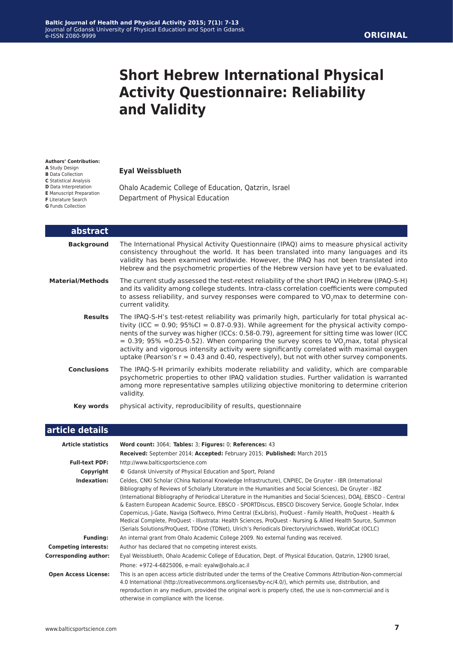# **Short Hebrew International Physical Activity Questionnaire: Reliability and Validity**

#### **Authors' Contribution:**

**A** Study Design

- **B** Data Collection **C** Statistical Analysis
- **D** Data Interpretation
- **E** Manuscript Preparation
- **F** Literature Search
- **G** Funds Collection

#### **Eyal Weissblueth**

Ohalo Academic College of Education, Qatzrin, Israel Department of Physical Education

| abstract                |                                                                                                                                                                                                                                                                                                                                                                                                                                                                                                                                                                                                        |
|-------------------------|--------------------------------------------------------------------------------------------------------------------------------------------------------------------------------------------------------------------------------------------------------------------------------------------------------------------------------------------------------------------------------------------------------------------------------------------------------------------------------------------------------------------------------------------------------------------------------------------------------|
| <b>Background</b>       | The International Physical Activity Questionnaire (IPAQ) aims to measure physical activity<br>consistency throughout the world. It has been translated into many languages and its<br>validity has been examined worldwide. However, the IPAQ has not been translated into<br>Hebrew and the psychometric properties of the Hebrew version have yet to be evaluated.                                                                                                                                                                                                                                   |
| <b>Material/Methods</b> | The current study assessed the test-retest reliability of the short IPAQ in Hebrew (IPAQ-S-H)<br>and its validity among college students. Intra-class correlation coefficients were computed<br>to assess reliability, and survey responses were compared to VO <sub>2</sub> max to determine con-<br>current validity.                                                                                                                                                                                                                                                                                |
| <b>Results</b>          | The IPAQ-S-H's test-retest reliability was primarily high, particularly for total physical ac-<br>tivity (ICC = $0.90$ ; 95%Cl = $0.87 - 0.93$ ). While agreement for the physical activity compo-<br>nents of the survey was higher (ICCs: 0.58-0.79), agreement for sitting time was lower (ICC<br>$= 0.39$ ; 95% = 0.25-0.52). When comparing the survey scores to VO <sub>2</sub> max, total physical<br>activity and vigorous intensity activity were significantly correlated with maximal oxygen<br>uptake (Pearson's $r = 0.43$ and 0.40, respectively), but not with other survey components. |
| <b>Conclusions</b>      | The IPAQ-S-H primarily exhibits moderate reliability and validity, which are comparable<br>psychometric properties to other IPAQ validation studies. Further validation is warranted<br>among more representative samples utilizing objective monitoring to determine criterion<br>validity.                                                                                                                                                                                                                                                                                                           |
| Key words               | physical activity, reproducibility of results, questionnaire                                                                                                                                                                                                                                                                                                                                                                                                                                                                                                                                           |

#### **article details**

| <b>Article statistics</b>    | Word count: 3064; Tables: 3; Figures: 0; References: 43                                                                                                                                                                                                                                                                                                                                                                                                                                                                                                                                                                                                                                                                                                                                        |  |  |
|------------------------------|------------------------------------------------------------------------------------------------------------------------------------------------------------------------------------------------------------------------------------------------------------------------------------------------------------------------------------------------------------------------------------------------------------------------------------------------------------------------------------------------------------------------------------------------------------------------------------------------------------------------------------------------------------------------------------------------------------------------------------------------------------------------------------------------|--|--|
|                              | Received: September 2014; Accepted: February 2015; Published: March 2015                                                                                                                                                                                                                                                                                                                                                                                                                                                                                                                                                                                                                                                                                                                       |  |  |
| <b>Full-text PDF:</b>        | http://www.balticsportscience.com                                                                                                                                                                                                                                                                                                                                                                                                                                                                                                                                                                                                                                                                                                                                                              |  |  |
| Copyright                    | © Gdansk University of Physical Education and Sport, Poland                                                                                                                                                                                                                                                                                                                                                                                                                                                                                                                                                                                                                                                                                                                                    |  |  |
| Indexation:                  | Celdes, CNKI Scholar (China National Knowledge Infrastructure), CNPIEC, De Gruyter - IBR (International<br>Bibliography of Reviews of Scholarly Literature in the Humanities and Social Sciences), De Gruyter - IBZ<br>(International Bibliography of Periodical Literature in the Humanities and Social Sciences), DOAJ, EBSCO - Central<br>& Eastern European Academic Source, EBSCO - SPORTDiscus, EBSCO Discovery Service, Google Scholar, Index<br>Copernicus, J-Gate, Naviga (Softweco, Primo Central (ExLibris), ProQuest - Family Health, ProQuest - Health &<br>Medical Complete, ProQuest - Illustrata: Health Sciences, ProQuest - Nursing & Allied Health Source, Summon<br>(Serials Solutions/ProQuest, TDOne (TDNet), Ulrich's Periodicals Directory/ulrichsweb, WorldCat (OCLC) |  |  |
| <b>Funding:</b>              | An internal grant from Ohalo Academic College 2009. No external funding was received.                                                                                                                                                                                                                                                                                                                                                                                                                                                                                                                                                                                                                                                                                                          |  |  |
| <b>Competing interests:</b>  | Author has declared that no competing interest exists.                                                                                                                                                                                                                                                                                                                                                                                                                                                                                                                                                                                                                                                                                                                                         |  |  |
| <b>Corresponding author:</b> | Eyal Weissblueth, Ohalo Academic College of Education, Dept. of Physical Education, Qatzrin, 12900 Israel,<br>Phone: +972-4-6825006, e-mail: eyalw@ohalo.ac.il                                                                                                                                                                                                                                                                                                                                                                                                                                                                                                                                                                                                                                 |  |  |
| <b>Open Access License:</b>  | This is an open access article distributed under the terms of the Creative Commons Attribution-Non-commercial<br>4.0 International (http://creativecommons.org/licenses/by-nc/4.0/), which permits use, distribution, and<br>reproduction in any medium, provided the original work is properly cited, the use is non-commercial and is<br>otherwise in compliance with the license.                                                                                                                                                                                                                                                                                                                                                                                                           |  |  |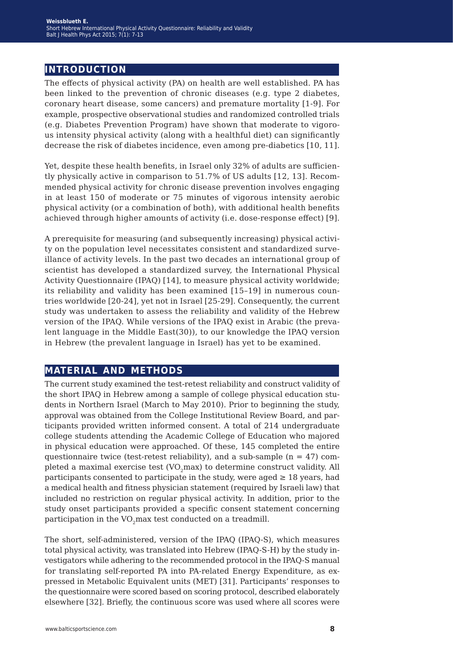### **introduction**

The effects of physical activity (PA) on health are well established. PA has been linked to the prevention of chronic diseases (e.g. type 2 diabetes, coronary heart disease, some cancers) and premature mortality [1-9]. For example, prospective observational studies and randomized controlled trials (e.g. Diabetes Prevention Program) have shown that moderate to vigorous intensity physical activity (along with a healthful diet) can significantly decrease the risk of diabetes incidence, even among pre-diabetics [10, 11].

Yet, despite these health benefits, in Israel only 32% of adults are sufficiently physically active in comparison to 51.7% of US adults [12, 13]. Recommended physical activity for chronic disease prevention involves engaging in at least 150 of moderate or 75 minutes of vigorous intensity aerobic physical activity (or a combination of both), with additional health benefits achieved through higher amounts of activity (i.e. dose-response effect) [9].

A prerequisite for measuring (and subsequently increasing) physical activity on the population level necessitates consistent and standardized surveillance of activity levels. In the past two decades an international group of scientist has developed a standardized survey, the International Physical Activity Questionnaire (IPAQ) [14], to measure physical activity worldwide; its reliability and validity has been examined [15–19] in numerous countries worldwide [20-24], yet not in Israel [25-29]. Consequently, the current study was undertaken to assess the reliability and validity of the Hebrew version of the IPAQ. While versions of the IPAQ exist in Arabic (the prevalent language in the Middle East(30)), to our knowledge the IPAQ version in Hebrew (the prevalent language in Israel) has yet to be examined.

### **material and methods**

The current study examined the test-retest reliability and construct validity of the short IPAQ in Hebrew among a sample of college physical education students in Northern Israel (March to May 2010). Prior to beginning the study, approval was obtained from the College Institutional Review Board, and participants provided written informed consent. A total of 214 undergraduate college students attending the Academic College of Education who majored in physical education were approached. Of these, 145 completed the entire questionnaire twice (test-retest reliability), and a sub-sample  $(n = 47)$  completed a maximal exercise test (VO<sub>2</sub>max) to determine construct validity. All participants consented to participate in the study, were aged  $\geq 18$  years, had a medical health and fitness physician statement (required by Israeli law) that included no restriction on regular physical activity. In addition, prior to the study onset participants provided a specific consent statement concerning participation in the VO<sub>2</sub>max test conducted on a treadmill.

The short, self-administered, version of the IPAQ (IPAQ-S), which measures total physical activity, was translated into Hebrew (IPAQ-S-H) by the study investigators while adhering to the recommended protocol in the IPAQ-S manual for translating self-reported PA into PA-related Energy Expenditure, as expressed in Metabolic Equivalent units (MET) [31]. Participants' responses to the questionnaire were scored based on scoring protocol, described elaborately elsewhere [32]. Briefly, the continuous score was used where all scores were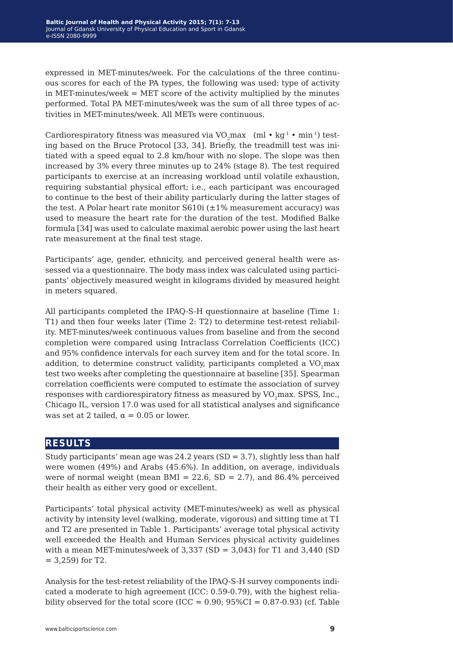expressed in MET-minutes/week. For the calculations of the three continuous scores for each of the PA types, the following was used: type of activity in MET-minutes/week  $=$  MET score of the activity multiplied by the minutes performed. Total PA MET-minutes/week was the sum of all three types of activities in MET-minutes/week. All METs were continuous.

Cardiorespiratory fitness was measured via VO max (ml  $\cdot$  kg<sup>-1</sup>  $\cdot$  min<sup>-1</sup>) testing based on the Bruce Protocol [33, 34]. Briefly, the treadmill test was initiated with a speed equal to 2.8 km/hour with no slope. The slope was then increased by 3% every three minutes up to 24% (stage 8). The test required participants to exercise at an increasing workload until volatile exhaustion, requiring substantial physical effort; i.e., each participant was encouraged to continue to the best of their ability particularly during the latter stages of the test. A Polar heart rate monitor  $S610i$  ( $\pm 1\%$  measurement accuracy) was used to measure the heart rate for the duration of the test. Modified Balke formula [34] was used to calculate maximal aerobic power using the last heart rate measurement at the final test stage.

Participants' age, gender, ethnicity, and perceived general health were assessed via a questionnaire. The body mass index was calculated using participants' objectively measured weight in kilograms divided by measured height in meters squared.

All participants completed the IPAQ-S-H questionnaire at baseline (Time 1: T1) and then four weeks later (Time 2: T2) to determine test-retest reliability. MET-minutes/week continuous values from baseline and from the second completion were compared using Intraclass Correlation Coefficients (ICC) and 95% confidence intervals for each survey item and for the total score. In addition, to determine construct validity, participants completed a VO<sub>2</sub>max test two weeks after completing the questionnaire at baseline [35]. Spearman correlation coefficients were computed to estimate the association of survey responses with cardiorespiratory fitness as measured by VO<sub>2</sub>max. SPSS, Inc., Chicago IL, version 17.0 was used for all statistical analyses and significance was set at 2 tailed,  $\alpha = 0.05$  or lower.

#### **results**

Study participants' mean age was 24.2 years (SD = 3.7), slightly less than half were women (49%) and Arabs (45.6%). In addition, on average, individuals were of normal weight (mean BMI = 22.6,  $SD = 2.7$ ), and 86.4% perceived their health as either very good or excellent.

Participants' total physical activity (MET-minutes/week) as well as physical activity by intensity level (walking, moderate, vigorous) and sitting time at T1 and T2 are presented in Table 1. Participants' average total physical activity well exceeded the Health and Human Services physical activity guidelines with a mean MET-minutes/week of  $3,337$  (SD =  $3,043$ ) for T1 and  $3,440$  (SD  $= 3,259$  for T2.

Analysis for the test-retest reliability of the IPAQ-S-H survey components indicated a moderate to high agreement (ICC: 0.59-0.79), with the highest reliability observed for the total score (ICC =  $0.90$ ;  $95\%CI = 0.87-0.93$ ) (cf. Table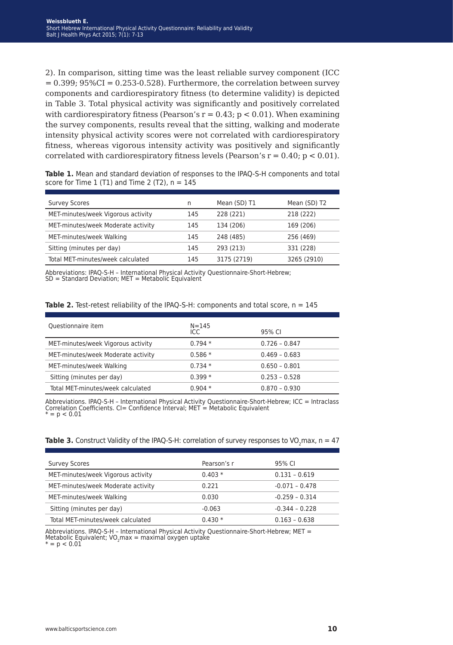2). In comparison, sitting time was the least reliable survey component (ICC  $= 0.399$ ;  $95\%CI = 0.253-0.528$ ). Furthermore, the correlation between survey components and cardiorespiratory fitness (to determine validity) is depicted in Table 3. Total physical activity was significantly and positively correlated with cardiorespiratory fitness (Pearson's  $r = 0.43$ ;  $p < 0.01$ ). When examining the survey components, results reveal that the sitting, walking and moderate intensity physical activity scores were not correlated with cardiorespiratory fitness, whereas vigorous intensity activity was positively and significantly correlated with cardiorespiratory fitness levels (Pearson's  $r = 0.40$ ;  $p < 0.01$ ).

**Table 1.** Mean and standard deviation of responses to the IPAQ-S-H components and total score for Time 1 (T1) and Time 2 (T2),  $n = 145$ 

| <b>Survey Scores</b>               | n   | Mean (SD) T1 | Mean (SD) T2 |
|------------------------------------|-----|--------------|--------------|
| MET-minutes/week Vigorous activity | 145 | 228 (221)    | 218 (222)    |
| MET-minutes/week Moderate activity | 145 | 134 (206)    | 169 (206)    |
| MET-minutes/week Walking           | 145 | 248 (485)    | 256 (469)    |
| Sitting (minutes per day)          | 145 | 293 (213)    | 331 (228)    |
| Total MET-minutes/week calculated  | 145 | 3175 (2719)  | 3265 (2910)  |

Abbreviations: IPAQ-S-H – International Physical Activity Questionnaire-Short-Hebrew; SD = Standard Deviation; MET = Metabolic Equivalent

|  | <b>Table 2.</b> Test-retest reliability of the IPAQ-S-H: components and total score, n = 145 |  |
|--|----------------------------------------------------------------------------------------------|--|
|--|----------------------------------------------------------------------------------------------|--|

| Questionnaire item                 | $N = 145$<br>ICC | 95% CI          |
|------------------------------------|------------------|-----------------|
| MET-minutes/week Vigorous activity | $0.794*$         | $0.726 - 0.847$ |
| MET-minutes/week Moderate activity | $0.586*$         | $0.469 - 0.683$ |
| MET-minutes/week Walking           | $0.734*$         | $0.650 - 0.801$ |
| Sitting (minutes per day)          | $0.399*$         | $0.253 - 0.528$ |
| Total MET-minutes/week calculated  | $0.904*$         | $0.870 - 0.930$ |

Abbreviations. IPAQ-S-H – International Physical Activity Questionnaire-Short-Hebrew; ICC = Intraclass Correlation Coefficients. CI= Confidence Interval; MET = Metabolic Equivalent \* = p < 0.01

|  |  |  |  | <b>Table 3.</b> Construct Validity of the IPAQ-S-H: correlation of survey responses to VO <sub>2</sub> max, n = 47 |
|--|--|--|--|--------------------------------------------------------------------------------------------------------------------|
|--|--|--|--|--------------------------------------------------------------------------------------------------------------------|

| <b>Survey Scores</b>               | Pearson's r | 95% CI           |
|------------------------------------|-------------|------------------|
| MET-minutes/week Vigorous activity | $0.403*$    | $0.131 - 0.619$  |
| MET-minutes/week Moderate activity | 0.221       | $-0.071 - 0.478$ |
| MET-minutes/week Walking           | 0.030       | $-0.259 - 0.314$ |
| Sitting (minutes per day)          | $-0.063$    | $-0.344 - 0.228$ |
| Total MET-minutes/week calculated  | $0.430*$    | $0.163 - 0.638$  |

Abbreviations. IPAQ-S-H – International Physical Activity Questionnaire-Short-Hebrew; MET = Metabolic Equivalent; VO<sub>2</sub>max = maximal oxygen uptake

 $= p < 0.01$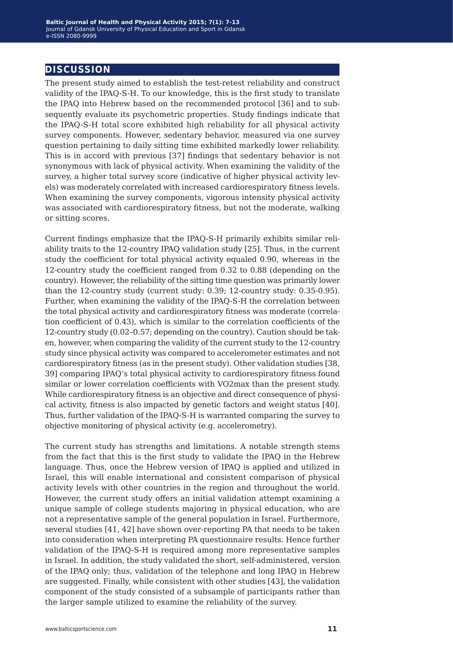#### **discussion**

The present study aimed to establish the test-retest reliability and construct validity of the IPAQ-S-H. To our knowledge, this is the first study to translate the IPAQ into Hebrew based on the recommended protocol [36] and to subsequently evaluate its psychometric properties. Study findings indicate that the IPAQ-S-H total score exhibited high reliability for all physical activity survey components. However, sedentary behavior, measured via one survey question pertaining to daily sitting time exhibited markedly lower reliability. This is in accord with previous [37] findings that sedentary behavior is not synonymous with lack of physical activity. When examining the validity of the survey, a higher total survey score (indicative of higher physical activity levels) was moderately correlated with increased cardiorespiratory fitness levels. When examining the survey components, vigorous intensity physical activity was associated with cardiorespiratory fitness, but not the moderate, walking or sitting scores.

Current findings emphasize that the IPAQ-S-H primarily exhibits similar reliability traits to the 12-country IPAQ validation study [25]. Thus, in the current study the coefficient for total physical activity equaled 0.90, whereas in the 12-country study the coefficient ranged from 0.32 to 0.88 (depending on the country). However, the reliability of the sitting time question was primarily lower than the 12-country study (current study: 0.39; 12-country study: 0.35-0.95). Further, when examining the validity of the IPAQ-S-H the correlation between the total physical activity and cardiorespiratory fitness was moderate (correlation coefficient of 0.43), which is similar to the correlation coefficients of the 12-country study (0.02–0.57; depending on the country). Caution should be taken, however, when comparing the validity of the current study to the 12-country study since physical activity was compared to accelerometer estimates and not cardiorespiratory fitness (as in the present study). Other validation studies [38, 39] comparing IPAQ's total physical activity to cardiorespiratory fitness found similar or lower correlation coefficients with VO2max than the present study. While cardiorespiratory fitness is an objective and direct consequence of physical activity, fitness is also impacted by genetic factors and weight status [40]. Thus, further validation of the IPAQ-S-H is warranted comparing the survey to objective monitoring of physical activity (e.g. accelerometry).

The current study has strengths and limitations. A notable strength stems from the fact that this is the first study to validate the IPAQ in the Hebrew language. Thus, once the Hebrew version of IPAQ is applied and utilized in Israel, this will enable international and consistent comparison of physical activity levels with other countries in the region and throughout the world. However, the current study offers an initial validation attempt examining a unique sample of college students majoring in physical education, who are not a representative sample of the general population in Israel. Furthermore, several studies [41, 42] have shown over-reporting PA that needs to be taken into consideration when interpreting PA questionnaire results. Hence further validation of the IPAQ-S-H is required among more representative samples in Israel. In addition, the study validated the short, self-administered, version of the IPAQ only; thus, validation of the telephone and long IPAQ in Hebrew are suggested. Finally, while consistent with other studies [43], the validation component of the study consisted of a subsample of participants rather than the larger sample utilized to examine the reliability of the survey.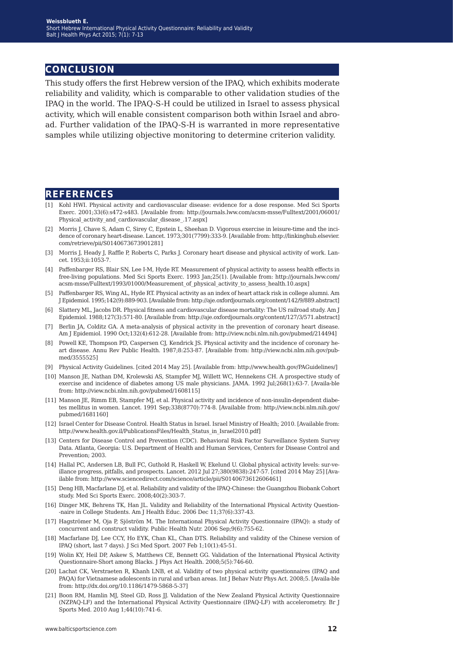#### **conclusion**

This study offers the first Hebrew version of the IPAQ, which exhibits moderate reliability and validity, which is comparable to other validation studies of the IPAQ in the world. The IPAQ-S-H could be utilized in Israel to assess physical activity, which will enable consistent comparison both within Israel and abroad. Further validation of the IPAQ-S-H is warranted in more representative samples while utilizing objective monitoring to determine criterion validity.

#### **references**

- [1] Kohl HWI. Physical activity and cardiovascular disease: evidence for a dose response. Med Sci Sports Exerc. 2001;33(6):s472-s483. [Available from: http://journals.lww.com/acsm-msse/Fulltext/2001/06001/ Physical activity and cardiovascular disease .17.aspx]
- [2] Morris J, Chave S, Adam C, Sirey C, Epstein L, Sheehan D. Vigorous exercise in leisure-time and the incidence of coronary heart-disease. Lancet. 1973;301(7799):333-9. [Available from: http://linkinghub.elsevier. com/retrieve/pii/S0140673673901281]
- [3] Morris J, Heady J, Raffle P, Roberts C, Parks J. Coronary heart disease and physical activity of work. Lancet. 1953;ii:1053-7.
- [4] Paffenbarger RS, Blair SN, Lee I-M, Hyde RT. Measurement of physical activity to assess health effects in free-living populations. Med Sci Sports Exerc. 1993 Jan;25(1). [Available from: http://journals.lww.com/ acsm-msse/Fulltext/1993/01000/Measurement\_of\_physical\_activity\_to\_assess\_health.10.aspx]
- [5] Paffenbarger RS, Wing AL, Hyde RT. Physical activity as an index of heart attack risk in college alumni. Am J Epidemiol. 1995;142(9):889-903. [Available from: http://aje.oxfordjournals.org/content/142/9/889.abstract]
- [6] Slattery ML, Jacobs DR. Physical fitness and cardiovascular disease mortality: The US railroad study. Am J Epidemiol. 1988;127(3):571-80. [Available from: http://aje.oxfordjournals.org/content/127/3/571.abstract]
- [7] Berlin JA, Colditz GA. A meta-analysis of physical activity in the prevention of coronary heart disease. Am J Epidemiol. 1990 Oct;132(4):612-28. [Available from: http://view.ncbi.nlm.nih.gov/pubmed/214494]
- [8] Powell KE, Thompson PD, Caspersen CJ, Kendrick JS. Physical activity and the incidence of coronary heart disease. Annu Rev Public Health. 1987;8:253-87. [Available from: http://view.ncbi.nlm.nih.gov/pubmed/3555525]
- [9] Physical Activity Guidelines. [cited 2014 May 25]. [Available from: http://www.health.gov/PAGuidelines/]
- [10] Manson JE, Nathan DM, Krolewski AS, Stampfer MJ, Willett WC, Hennekens CH. A prospective study of exercise and incidence of diabetes among US male physicians. JAMA. 1992 Jul;268(1):63-7. [Availa-ble from: http://view.ncbi.nlm.nih.gov/pubmed/1608115]
- [11] Manson JE, Rimm EB, Stampfer MJ, et al. Physical activity and incidence of non-insulin-dependent diabetes mellitus in women. Lancet. 1991 Sep;338(8770):774-8. [Available from: http://view.ncbi.nlm.nih.gov/ pubmed/1681160]
- [12] Israel Center for Disease Control. Health Status in Israel. Israel Ministry of Health; 2010. [Available from: http://www.health.gov.il/PublicationsFiles/Health\_Status\_in\_Israel2010.pdf]
- [13] Centers for Disease Control and Prevention (CDC). Behavioral Risk Factor Surveillance System Survey Data. Atlanta, Georgia: U.S. Department of Health and Human Services, Centers for Disease Control and Prevention; 2003.
- [14] Hallal PC, Andersen LB, Bull FC, Guthold R, Haskell W, Ekelund U. Global physical activity levels: sur-veillance progress, pitfalls, and prospects. Lancet. 2012 Jul 27;380(9838):247-57. [cited 2014 May 25] [Available from: http://www.sciencedirect.com/science/article/pii/S0140673612606461]
- [15] Deng HB, Macfarlane DJ, et al. Reliability and validity of the IPAQ-Chinese: the Guangzhou Biobank Cohort study. Med Sci Sports Exerc. 2008;40(2):303-7.
- [16] Dinger MK, Behrens TK, Han JL. Validity and Reliability of the International Physical Activity Question- -naire in College Students. Am J Health Educ. 2006 Dec 11;37(6):337-43.
- [17] Hagströmer M, Oja P, Sjöström M. The International Physical Activity Questionnaire (IPAQ): a study of concurrent and construct validity. Public Health Nutr. 2006 Sep;9(6):755-62.
- [18] Macfarlane DJ, Lee CCY, Ho EYK, Chan KL, Chan DTS. Reliability and validity of the Chinese version of IPAQ (short, last 7 days). J Sci Med Sport. 2007 Feb 1;10(1):45-51.
- [19] Wolin KY, Heil DP, Askew S, Matthews CE, Bennett GG. Validation of the International Physical Activity Questionnaire-Short among Blacks. J Phys Act Health. 2008;5(5):746-60.
- [20] Lachat CK, Verstraeten R, Khanh LNB, et al. Validity of two physical activity questionnaires (IPAQ and PAQA) for Vietnamese adolescents in rural and urban areas. Int J Behav Nutr Phys Act. 2008;5. [Availa-ble from: http://dx.doi.org/10.1186/1479-5868-5-37]
- [21] Boon RM, Hamlin MJ, Steel GD, Ross JJ. Validation of the New Zealand Physical Activity Questionnaire (NZPAQ-LF) and the International Physical Activity Questionnaire (IPAQ-LF) with accelerometry. Br J Sports Med. 2010 Aug 1;44(10):741-6.